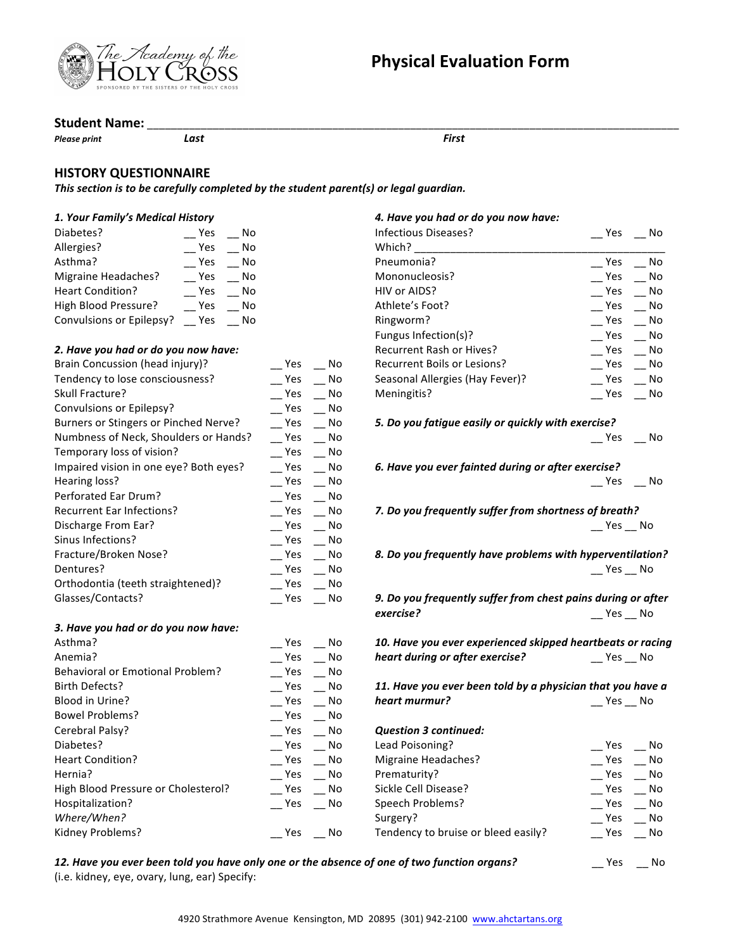



#### **Student Name:**

**Please print** *Last Cast Please print First* 

#### **HISTORY QUESTIONNAIRE**

This section is to be carefully completed by the student parent(s) or legal guardian.

#### *1. Your Family's Medical History*

| Diabetes?                | Yes | No |
|--------------------------|-----|----|
| Allergies?               | Yes | No |
| Asthma?                  | Yes | No |
| Migraine Headaches?      | Yes | No |
| Heart Condition?         | Yes | No |
| High Blood Pressure?     | Yes | No |
| Convulsions or Epilepsy? | Yes | No |
|                          |     |    |

#### *2. Have you had or do you now have:*

*3. Have you had or do you now have:*

*Where/When?*

| Brain Concussion (head injury)?        | Yes | No |
|----------------------------------------|-----|----|
| Tendency to lose consciousness?        | Yes | No |
| <b>Skull Fracture?</b>                 | Yes | No |
| Convulsions or Epilepsy?               | Yes | No |
| Burners or Stingers or Pinched Nerve?  | Yes | No |
| Numbness of Neck, Shoulders or Hands?  | Yes | No |
| Temporary loss of vision?              | Yes | No |
| Impaired vision in one eye? Both eyes? | Yes | No |
| Hearing loss?                          | Yes | No |
| Perforated Ear Drum?                   | Yes | No |
| <b>Recurrent Ear Infections?</b>       | Yes | No |
| Discharge From Ear?                    | Yes | No |
| Sinus Infections?                      | Yes | No |
| Fracture/Broken Nose?                  | Yes | No |
| Dentures?                              | Yes | No |
| Orthodontia (teeth straightened)?      | Yes | No |
| Glasses/Contacts?                      | Yes | No |
|                                        |     |    |

Asthma? No Contract Contract Contract Contract Contract Contract Contract Contract Contract Contract Contract Contract Contract Contract Contract Contract Contract Contract Contract Contract Contract Contract Contract Cont Anemia? \_\_ Yes \_\_ No Behavioral or Emotional Problem? \_\_\_\_\_\_\_ Yes \_\_\_\_ No Birth Defects? \_\_ Yes \_\_ No Blood in Urine? The Contract of the Contract of the Contract of the Contract of the Contract of the Contract o Bowel Problems? \_\_ Yes \_\_ No Cerebral Palsy? \_\_ Yes \_\_ No Diabetes? No Contract Contract Contract Contract Contract Contract Contract Contract Contract Contract Contract Contract Contract Contract Contract Contract Contract Contract Contract Contract Contract Contract Contract Co Heart Condition? \_\_ Yes \_\_ No Hernia? \_\_ Yes \_\_ No High Blood Pressure or Cholesterol? \_\_\_\_\_ Yes \_\_\_ No Hospitalization? **We can also constructed**  $\sim$  Yes  $\sim$  No

Kidney Problems? \_\_ Yes \_\_ No

### *4. Have you had or do you now have:*

| Infectious Diseases?            | Yes | No |
|---------------------------------|-----|----|
| Which?                          |     |    |
| Pneumonia?                      | Yes | No |
| Mononucleosis?                  | Yes | No |
| HIV or AIDS?                    | Yes | No |
| Athlete's Foot?                 | Yes | No |
| Ringworm?                       | Yes | No |
| Fungus Infection(s)?            | Yes | No |
| <b>Recurrent Rash or Hives?</b> | Yes | No |
| Recurrent Boils or Lesions?     | Yes | No |
| Seasonal Allergies (Hay Fever)? | Yes | No |
| Meningitis?                     | Yes | No |

*5. Do you fatigue easily or quickly with exercise?*

 $-$  Yes  $-$  No

*6. Have you ever fainted during or after exercise?*  $\equiv$  Yes  $\equiv$  No

*7. Do you frequently suffer from shortness of breath?*  $\equiv$  Yes  $\equiv$  No

*8. Do you frequently have problems with hyperventilation?*  $\equiv$  Yes  $\equiv$  No

*9. Do you frequently suffer from chest pains during or after exercise?* \_\_ Yes \_\_ No

10. Have you ever experienced skipped heartbeats or racing *heart during or after exercise?* \_\_ Yes \_\_ No

11. Have you ever been told by a physician that you have a **heart murmur? No. 2018 No. 2018 No. 2019 No. 2019 No. 2019 No. 2019 No. 2019 No. 2019 No. 2019 No. 2019 No. 2019 No. 2019 No. 2019 No. 2019 No. 2019 No. 2019 No. 2019 No. 2019 No. 201** 

*Question 3 continued:* Lead Poisoning? \_\_ Yes \_\_ No

| Leau Pulsulilik!                    | 155<br>IVU. |
|-------------------------------------|-------------|
| Migraine Headaches?                 | Yes<br>No   |
| Prematurity?                        | Yes<br>No   |
| Sickle Cell Disease?                | Yes<br>No   |
| Speech Problems?                    | Yes<br>No   |
| Surgery?                            | No<br>Yes   |
| Tendency to bruise or bleed easily? | No<br>Yes   |
|                                     |             |

**12.** Have you ever been told you have only one or the absence of one of two function organs?  $\qquad \qquad \qquad \qquad \qquad \mathsf{Yes} \qquad \mathsf{No}$ (i.e. kidney, eye, ovary, lung, ear) Specify: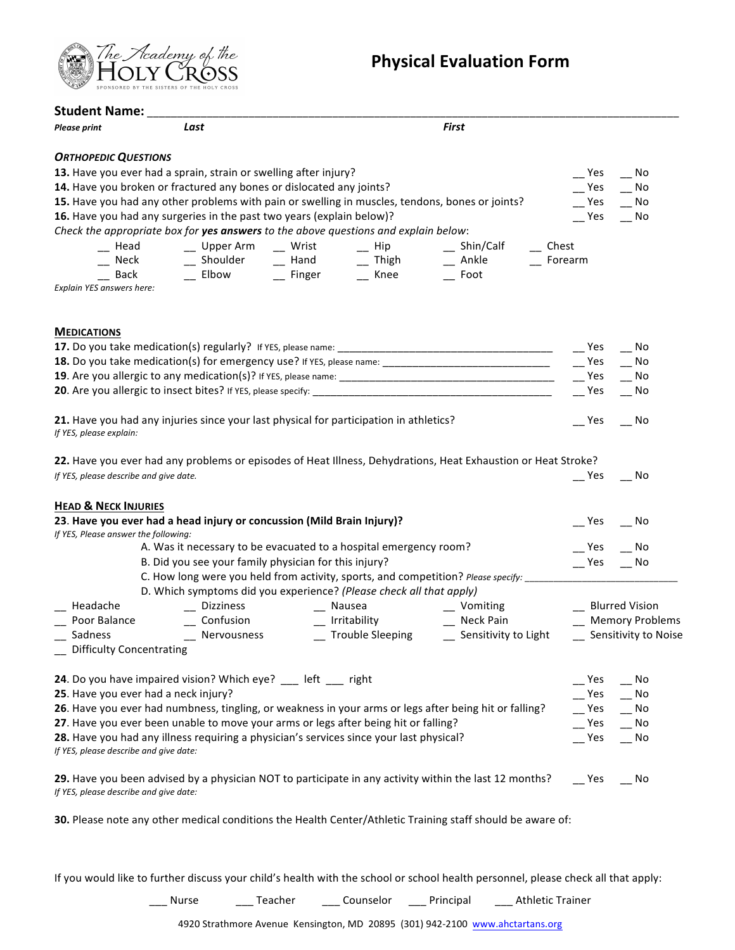

**Physical Evaluation Form** 

| Student Name: _                        |                                                                                                                                                                                   |  |                                                                                                |                                |                             |
|----------------------------------------|-----------------------------------------------------------------------------------------------------------------------------------------------------------------------------------|--|------------------------------------------------------------------------------------------------|--------------------------------|-----------------------------|
| <b>Please print</b>                    | Last                                                                                                                                                                              |  | <b>First</b>                                                                                   |                                |                             |
| <b>ORTHOPEDIC QUESTIONS</b>            |                                                                                                                                                                                   |  |                                                                                                |                                |                             |
|                                        | 13. Have you ever had a sprain, strain or swelling after injury?                                                                                                                  |  |                                                                                                | $\mathsf{I}$ Yes               | $\overline{\phantom{0}}$ No |
|                                        | 14. Have you broken or fractured any bones or dislocated any joints?                                                                                                              |  |                                                                                                | $-$ Yes                        | $\overline{\phantom{0}}$ No |
|                                        | 15. Have you had any other problems with pain or swelling in muscles, tendons, bones or joints?                                                                                   |  |                                                                                                | $-$ Yes                        | $\overline{\phantom{0}}$ No |
|                                        | 16. Have you had any surgeries in the past two years (explain below)?                                                                                                             |  |                                                                                                | Yes                            | $\overline{\phantom{a}}$ No |
|                                        | Check the appropriate box for yes answers to the above questions and explain below:                                                                                               |  |                                                                                                |                                |                             |
|                                        |                                                                                                                                                                                   |  |                                                                                                | $\overline{\phantom{a}}$ Chest |                             |
|                                        |                                                                                                                                                                                   |  |                                                                                                | $F$ Forearm                    |                             |
|                                        | - Head - Upper Arm - Wrist - Hip - Shin/Calf<br>- Neck - Shoulder - Hand - Thigh - Ankle<br>- Back - Elbow - Finger - Knee - Foot                                                 |  |                                                                                                |                                |                             |
| Explain YES answers here:              |                                                                                                                                                                                   |  |                                                                                                |                                |                             |
| <b>MEDICATIONS</b>                     |                                                                                                                                                                                   |  |                                                                                                |                                |                             |
|                                        |                                                                                                                                                                                   |  |                                                                                                | Yes                            | - No                        |
|                                        |                                                                                                                                                                                   |  |                                                                                                |                                | $\overline{\phantom{a}}$ No |
|                                        |                                                                                                                                                                                   |  |                                                                                                |                                | $\overline{\phantom{a}}$ No |
|                                        |                                                                                                                                                                                   |  |                                                                                                | Yes                            | $\overline{\phantom{0}}$ No |
| If YES, please explain:                | 21. Have you had any injuries since your last physical for participation in athletics?                                                                                            |  |                                                                                                | Yes                            | No                          |
|                                        | 22. Have you ever had any problems or episodes of Heat Illness, Dehydrations, Heat Exhaustion or Heat Stroke?                                                                     |  |                                                                                                |                                |                             |
| If YES, please describe and give date. |                                                                                                                                                                                   |  |                                                                                                | Yes                            | No.                         |
| <b>HEAD &amp; NECK INJURIES</b>        |                                                                                                                                                                                   |  |                                                                                                |                                |                             |
| If YES, Please answer the following:   | 23. Have you ever had a head injury or concussion (Mild Brain Injury)?                                                                                                            |  |                                                                                                | Yes                            | $\overline{\phantom{a}}$ No |
|                                        | A. Was it necessary to be evacuated to a hospital emergency room?                                                                                                                 |  |                                                                                                | Yes                            | No.                         |
|                                        | B. Did you see your family physician for this injury?                                                                                                                             |  |                                                                                                | $-$ Yes                        | $\overline{\phantom{0}}$ No |
|                                        | C. How long were you held from activity, sports, and competition? Please specify: ________________________<br>D. Which symptoms did you experience? (Please check all that apply) |  |                                                                                                |                                |                             |
| __ Headache                            | __ Dizziness                                                                                                                                                                      |  |                                                                                                | __ Blurred Vision              |                             |
| __ Poor Balance                        |                                                                                                                                                                                   |  |                                                                                                |                                | __ Memory Problems          |
| __ Sadness                             | — Confusion<br>— Nervousness                                                                                                                                                      |  | - Nausea - Vomiting<br>- Irritability - Neck Pain<br>- Trouble Sleeping - Sensitivity to Light |                                | __ Sensitivity to Noise     |
| <b>Difficulty Concentrating</b>        |                                                                                                                                                                                   |  |                                                                                                |                                |                             |
|                                        | 24. Do you have impaired vision? Which eye? __ left __ right                                                                                                                      |  |                                                                                                | Yes                            | - No                        |
|                                        | 25. Have you ever had a neck injury?                                                                                                                                              |  |                                                                                                | Yes                            | No                          |
|                                        | 26. Have you ever had numbness, tingling, or weakness in your arms or legs after being hit or falling?                                                                            |  |                                                                                                | Yes                            | No                          |
|                                        | 27. Have you ever been unable to move your arms or legs after being hit or falling?                                                                                               |  |                                                                                                | Yes                            | No                          |
| If YES, please describe and give date: | 28. Have you had any illness requiring a physician's services since your last physical?                                                                                           |  |                                                                                                | Yes                            | __ No                       |
| If YES, please describe and give date: | 29. Have you been advised by a physician NOT to participate in any activity within the last 12 months?                                                                            |  |                                                                                                | $\equiv$ Yes                   | No.                         |

**30.** Please note any other medical conditions the Health Center/Athletic Training staff should be aware of:

If you would like to further discuss your child's health with the school or school health personnel, please check all that apply:

\_\_\_ Nurse \_\_\_\_\_\_ Teacher \_\_\_\_\_\_ Counselor \_\_\_\_\_ Principal \_\_\_\_\_\_ Athletic Trainer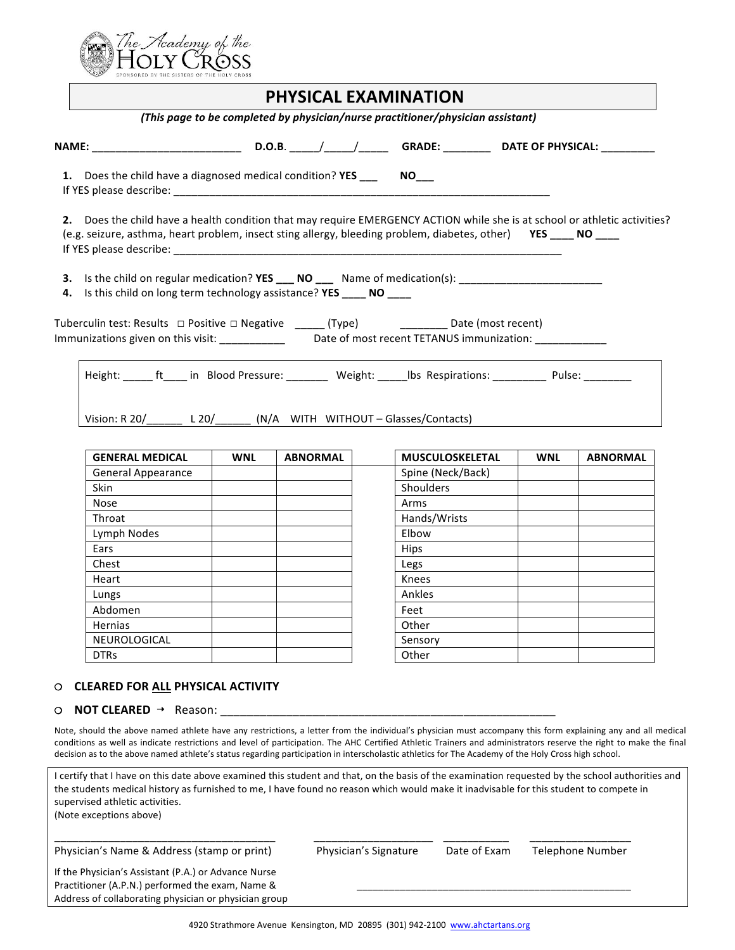

|                                                                                                                                                                                                                                              |            |                 | <b>PHYSICAL EXAMINATION</b>                                                     |     |                 |
|----------------------------------------------------------------------------------------------------------------------------------------------------------------------------------------------------------------------------------------------|------------|-----------------|---------------------------------------------------------------------------------|-----|-----------------|
|                                                                                                                                                                                                                                              |            |                 | (This page to be completed by physician/nurse practitioner/physician assistant) |     |                 |
|                                                                                                                                                                                                                                              |            |                 |                                                                                 |     |                 |
| 1. Does the child have a diagnosed medical condition? YES ________ NO____                                                                                                                                                                    |            |                 |                                                                                 |     |                 |
| 2. Does the child have a health condition that may require EMERGENCY ACTION while she is at school or athletic activities?<br>(e.g. seizure, asthma, heart problem, insect sting allergy, bleeding problem, diabetes, other) YES ____ NO ___ |            |                 |                                                                                 |     |                 |
| 3. Is the child on regular medication? YES ___ NO ___ Name of medication(s): ______________________<br>4. Is this child on long term technology assistance? YES _____ NO ____                                                                |            |                 |                                                                                 |     |                 |
| Tuberculin test: Results □ Positive □ Negative ______ (Type) _______________ Date (most recent)<br>Immunizations given on this visit: _______________ Date of most recent TETANUS immunization: _____________                                |            |                 |                                                                                 |     |                 |
| Height: ______ ft_____ in Blood Pressure: ________ Weight: _____ lbs Respirations: __________ Pulse: _________                                                                                                                               |            |                 |                                                                                 |     |                 |
| Vision: R 20/_______ L 20/_______ (N/A WITH WITHOUT - Glasses/Contacts)                                                                                                                                                                      |            |                 |                                                                                 |     |                 |
| <b>GENERAL MEDICAL</b>                                                                                                                                                                                                                       | <b>WNL</b> | <b>ABNORMAL</b> | MUSCULOSKELETAL                                                                 | WNL | <b>ABNORMAL</b> |

| <b>WNL</b> | <b>ABNURIVIAL</b> | <b>IVIUSCULUSKELE I AL</b> |
|------------|-------------------|----------------------------|
|            |                   | Spine (Neck/Back)          |
|            |                   | <b>Shoulders</b>           |
|            |                   | Arms                       |
|            |                   | Hands/Wrists               |
|            |                   | Elbow                      |
|            |                   | Hips                       |
|            |                   | Legs                       |
|            |                   | Knees                      |
|            |                   | Ankles                     |
|            |                   | Feet                       |
|            |                   | Other                      |
|            |                   | Sensory                    |
|            |                   | Other                      |
|            |                   |                            |

#### **❍ CLEARED FOR ALL PHYSICAL ACTIVITY**

**❍ NOT CLEARED ➝** Reason: \_\_\_\_\_\_\_\_\_\_\_\_\_\_\_\_\_\_\_\_\_\_\_\_\_\_\_\_\_\_\_\_\_\_\_\_\_\_\_\_\_\_\_\_\_\_\_\_\_\_\_

Note, should the above named athlete have any restrictions, a letter from the individual's physician must accompany this form explaining any and all medical conditions as well as indicate restrictions and level of participation. The AHC Certified Athletic Trainers and administrators reserve the right to make the final decision as to the above named athlete's status regarding participation in interscholastic athletics for The Academy of the Holy Cross high school.

| I certify that I have on this date above examined this student and that, on the basis of the examination requested by the school authorities and<br>the students medical history as furnished to me, I have found no reason which would make it inadvisable for this student to compete in<br>supervised athletic activities.<br>(Note exceptions above) |                       |              |                  |  |
|----------------------------------------------------------------------------------------------------------------------------------------------------------------------------------------------------------------------------------------------------------------------------------------------------------------------------------------------------------|-----------------------|--------------|------------------|--|
| Physician's Name & Address (stamp or print)                                                                                                                                                                                                                                                                                                              | Physician's Signature | Date of Exam | Telephone Number |  |
| If the Physician's Assistant (P.A.) or Advance Nurse<br>Practitioner (A.P.N.) performed the exam, Name &<br>Address of collaborating physician or physician group                                                                                                                                                                                        |                       |              |                  |  |